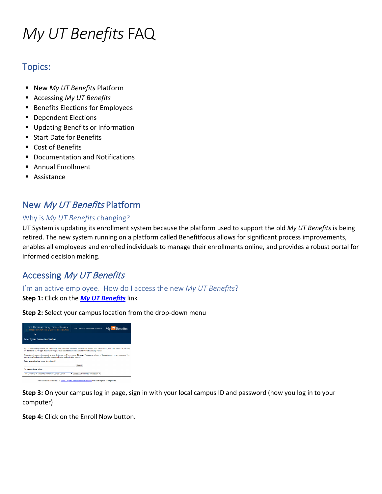# *My UT Benefits* FAQ

# Topics:

- New *My UT Benefits* Platform
- Accessing *My UT Benefits*
- **Benefits Elections for Employees**
- Dependent Elections
- **Updating Benefits or Information**
- Start Date for Benefits
- Cost of Benefits
- Documentation and Notifications
- Annual Enrollment
- Assistance

# New My UT Benefits Platform

## Why is *My UT Benefits* changing?

UT System is updating its enrollment system because the platform used to support the old *My UT Benefits* is being retired. The new system running on a platform called Benefitfocus allows for significant process improvements, enables all employees and enrolled individuals to manage their enrollments online, and provides a robust portal for informed decision making.

# Accessing My UT Benefits

I'm an active employee. How do I access the new *My UT Benefits*?

#### **Step 1:** Click on the *[My UT Benefits](https://bfi.secure3-enroll.com/sso/saml/MyUTBenefits)* link

**Step 2:** Select your campus location from the drop-down menu



**Step 3:** On your campus log in page, sign in with your local campus ID and password (how you log in to your computer)

**Step 4:** Click on the Enroll Now button.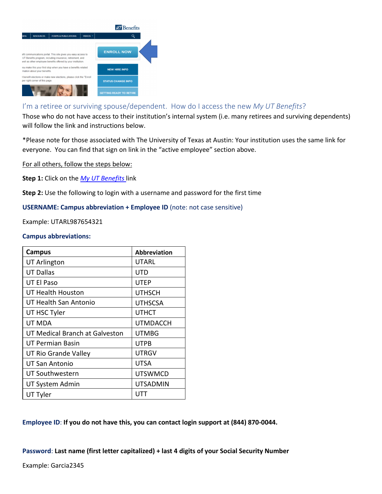

#### I'm a retiree or surviving spouse/dependent. How do I access the new *My UT Benefits*?

Those who do not have access to their institution's internal system (i.e. many retirees and surviving dependents) will follow the link and instructions below.

\*Please note for those associated with The University of Texas at Austin: Your institution uses the same link for everyone. You can find that sign on link in the "active employee" section above.

For all others, follow the steps below:

**Step 1:** Click on the *[My UT Benefits](https://myutbenefits.secure-enroll.com/go/myutbenefits)* link

**Step 2:** Use the following to login with a username and password for the first time

#### **USERNAME: Campus abbreviation + Employee ID** (note: not case sensitive)

Example: UTARL987654321

#### **Campus abbreviations:**

| Campus                         | <b>Abbreviation</b> |
|--------------------------------|---------------------|
| <b>UT Arlington</b>            | UTARL               |
| <b>UT Dallas</b>               | UTD                 |
| UT El Paso                     | <b>UTEP</b>         |
| UT Health Houston              | <b>UTHSCH</b>       |
| UT Health San Antonio          | <b>UTHSCSA</b>      |
| UT HSC Tyler                   | <b>UTHCT</b>        |
| UT MDA                         | UTMDACCH            |
| UT Medical Branch at Galveston | <b>UTMBG</b>        |
| UT Permian Basin               | <b>UTPB</b>         |
| UT Rio Grande Valley           | <b>UTRGV</b>        |
| UT San Antonio                 | <b>UTSA</b>         |
| <b>UT Southwestern</b>         | <b>UTSWMCD</b>      |
| UT System Admin                | <b>UTSADMIN</b>     |
| UT Tyler                       |                     |

**Employee ID**: **If you do not have this, you can contact login support at (844) 870-0044.**

**Password**: **Last name (first letter capitalized) + last 4 digits of your Social Security Number**

Example: Garcia2345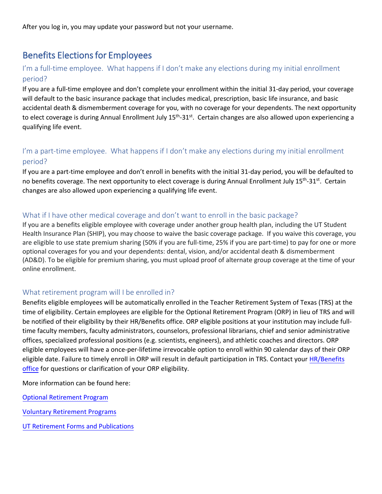After you log in, you may update your password but not your username.

# Benefits Elections for Employees

## I'm a full-time employee. What happens if I don't make any elections during my initial enrollment period?

If you are a full-time employee and don't complete your enrollment within the initial 31-day period, your coverage will default to the basic insurance package that includes medical, prescription, basic life insurance, and basic accidental death & dismemberment coverage for you, with no coverage for your dependents. The next opportunity to elect coverage is during Annual Enrollment July 15<sup>th</sup>-31<sup>st</sup>. Certain changes are also allowed upon experiencing a qualifying life event.

## I'm a part-time employee. What happens if I don't make any elections during my initial enrollment period?

If you are a part-time employee and don't enroll in benefits with the initial 31-day period, you will be defaulted to no benefits coverage. The next opportunity to elect coverage is during Annual Enrollment July 15<sup>th</sup>-31<sup>st</sup>. Certain changes are also allowed upon experiencing a qualifying life event.

### What if I have other medical coverage and don't want to enroll in the basic package?

If you are a benefits eligible employee with coverage under another group health plan, including the UT Student Health Insurance Plan (SHIP), you may choose to waive the basic coverage package. If you waive this coverage, you are eligible to use state premium sharing (50% if you are full-time, 25% if you are part-time) to pay for one or more optional coverages for you and your dependents: dental, vision, and/or accidental death & dismemberment (AD&D). To be eligible for premium sharing, you must upload proof of alternate group coverage at the time of your online enrollment.

#### What retirement program will I be enrolled in?

Benefits eligible employees will be automatically enrolled in the Teacher Retirement System of Texas (TRS) at the time of eligibility. Certain employees are eligible for the Optional Retirement Program (ORP) in lieu of TRS and will be notified of their eligibility by their HR/Benefits office. ORP eligible positions at your institution may include fulltime faculty members, faculty administrators, counselors, professional librarians, chief and senior administrative offices, specialized professional positions (e.g. scientists, engineers), and athletic coaches and directors. ORP eligible employees will have a once-per-lifetime irrevocable option to enroll within 90 calendar days of their ORP eligible date. Failure to timely enroll in ORP will result in default participation in TRS. Contact your HR/Benefits office for questions or clarification of your ORP eligibility.

[More i](https://www.utsystem.edu/offices/employee-benefits/who-contact)nformation can be found here:

Optional Retirement Program

[Voluntary Retirement Program](http://www.utsystem.edu/offices/employee-benefits/optional-retirement-program)s

[UT Retirement Forms and Publica](http://www.utsystem.edu/offices/employee-benefits/ut-retirement-program)tions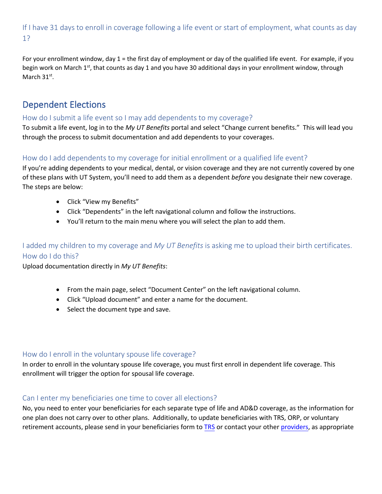# If I have 31 days to enroll in coverage following a life event or start of employment, what counts as day 1?

For your enrollment window, day 1 = the first day of employment or day of the qualified life event. For example, if you begin work on March 1<sup>st</sup>, that counts as day 1 and you have 30 additional days in your enrollment window, through March 31<sup>st</sup>.

# Dependent Elections

### How do I submit a life event so I may add dependents to my coverage?

To submit a life event, log in to the *My UT Benefits* portal and select "Change current benefits." This will lead you through the process to submit documentation and add dependents to your coverages.

### How do I add dependents to my coverage for initial enrollment or a qualified life event?

If you're adding dependents to your medical, dental, or vision coverage and they are not currently covered by one of these plans with UT System, you'll need to add them as a dependent *before* you designate their new coverage. The steps are below:

- Click "View my Benefits"
- Click "Dependents" in the left navigational column and follow the instructions.
- You'll return to the main menu where you will select the plan to add them.

## I added my children to my coverage and *My UT Benefits* is asking me to upload their birth certificates. How do I do this?

Upload documentation directly in *[My UT Benefits](http://utbenefits.link/ssomyutbenefits)*:

- From the main page, select "Document Center" on the left navigational column.
- Click "Upload document" and enter a name for the document.
- Select the document type and save.

#### How do I enroll in the voluntary spouse life coverage?

In order to enroll in the voluntary spouse life coverage, you must first enroll in dependent life coverage. This enrollment will trigger the option for spousal life coverage.

#### Can I enter my beneficiaries one time to cover all elections?

No, you need to enter your beneficiaries for each separate type of life and AD&D coverage, as the information for one plan does not carry over to other plans. Additionally, to update beneficiaries with TRS, ORP, or voluntary retirement accounts, please send in your beneficiaries form to [TRS](https://www.trs.texas.gov/TRS%20Documents/form_15.pdf) or contact your other [providers,](https://www.utsystem.edu/offices/employee-benefits/ut-retirement-program/approved-providers) as appropriate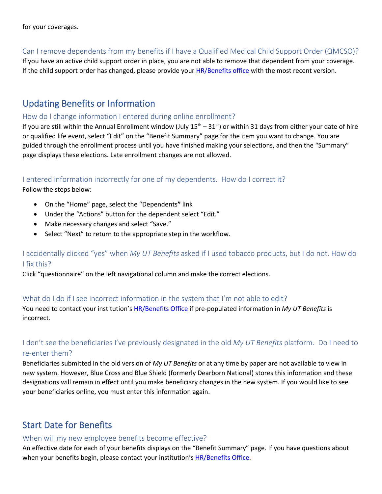## Can I remove dependents from my benefits if I have a Qualified Medical Child Support Order (QMCSO)?

If you have an active child support order in place, you are not able to remove that dependent from your coverage. If the child support order has changed, please provide your **HR/Benefits office** with the most recent version.

# Updating Benefits or Information

### How do I change information I entered during online enrollment?

If you are still within the Annual Enrollment window (July  $15<sup>th</sup> - 31<sup>st</sup>$ ) or within 31 days from either your date of hire or qualified life event, select "Edit" on the "Benefit Summary" page for the item you want to change. You are guided through the enrollment process until you have finished making your selections, and then the "Summary" page displays these elections. Late enrollment changes are not allowed.

## I entered information incorrectly for one of my dependents. How do I correct it?

Follow the steps below:

- On the "Home" page, select the "Dependents**"** link
- Under the "Actions" button for the dependent select "Edit."
- Make necessary changes and select "Save."
- Select "Next" to return to the appropriate step in the workflow.

## I accidentally clicked "yes" when *My UT Benefits* asked if I used tobacco products, but I do not. How do I fix this?

Click "questionnaire" on the left navigational column and make the correct elections.

## What do I do if I see incorrect information in the system that I'm not able to edit?

You need to contact your institution's **[HR/Benefits Office](https://utsystem.edu/offices/employee-benefits/who-contact)** if pre-populated information in *My UT Benefits* is incorrect.

# I don't see the beneficiaries I've previously designated in the old *My UT Benefits* platform. Do I need to re-enter them?

Beneficiaries submitted in the old version of *My UT Benefits* or at any time by paper are not available to view in new system. However, Blue Cross and Blue Shield (formerly Dearborn National) stores this information and these designations will remain in effect until you make beneficiary changes in the new system. If you would like to see your beneficiaries online, you must enter this information again.

# Start Date for Benefits

## When will my new employee benefits become effective?

An effective date for each of your benefits displays on the "Benefit Summary" page. If you have questions about when your benefits begin, please contact your institution's [HR/Benefits Office.](https://utsystem.edu/offices/employee-benefits/who-contact)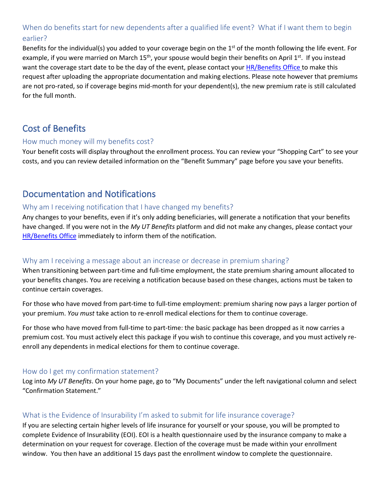## When do benefits start for new dependents after a qualified life event? What if I want them to begin earlier?

Benefits for the individual(s) you added to your coverage begin on the 1<sup>st</sup> of the month following the life event. For example, if you were married on March  $15<sup>th</sup>$ , your spouse would begin their benefits on April  $1<sup>st</sup>$ . If you instead want the coverage start date to be the day of the event, please contact you[r HR/Benefits Office](https://utsystem.edu/offices/employee-benefits/who-contact) to make this request after uploading the appropriate documentation and making elections. Please note however that premiums are not pro-rated, so if coverage begins mid-month for your dependent(s), the new premium rate is still calculated for the full month.

# Cost of Benefits

#### How much money will my benefits cost?

Your benefit costs will display throughout the enrollment process. You can review your "Shopping Cart" to see your costs, and you can review detailed information on the "Benefit Summary" page before you save your benefits.

# Documentation and Notifications

#### Why am I receiving notification that I have changed my benefits?

Any changes to your benefits, even if it's only adding beneficiaries, will generate a notification that your benefits have changed. If you were not in the *My UT Benefits* platform and did not make any changes, please contact your [HR/Benefits Office](https://utsystem.edu/offices/employee-benefits/who-contact) immediately to inform them of the notification.

#### Why am I receiving a message about an increase or decrease in premium sharing?

When transitioning between part-time and full-time employment, the state premium sharing amount allocated to your benefits changes. You are receiving a notification because based on these changes, actions must be taken to continue certain coverages.

For those who have moved from part-time to full-time employment: premium sharing now pays a larger portion of your premium. *You must* take action to re-enroll medical elections for them to continue coverage.

For those who have moved from full-time to part-time: the basic package has been dropped as it now carries a premium cost. You must actively elect this package if you wish to continue this coverage, and you must actively reenroll any dependents in medical elections for them to continue coverage.

#### How do I get my confirmation statement?

Log into *My UT Benefits*. On your home page, go to "My Documents" under the left navigational column and select "Confirmation Statement."

## What is the Evidence of Insurability I'm asked to submit for life insurance coverage?

If you are selecting certain higher levels of life insurance for yourself or your spouse, you will be prompted to complete Evidence of Insurability (EOI). EOI is a health questionnaire used by the insurance company to make a determination on your request for coverage. Election of the coverage must be made within your enrollment window. You then have an additional 15 days past the enrollment window to complete the questionnaire.